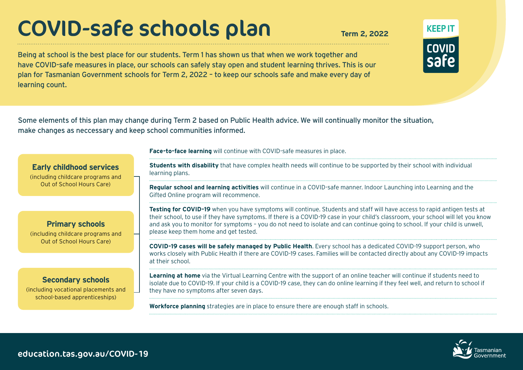# COVID-safe schools plan **Term 2, 2022**

Being at school is the best place for our students. Term 1 has shown us that when we work together and have COVID-safe measures in place, our schools can safely stay open and student learning thrives. This is our plan for Tasmanian Government schools for Term 2, 2022 – to keep our schools safe and make every day of learning count.

Some elements of this plan may change during Term 2 based on Public Health advice. We will continually monitor the situation, make changes as neccessary and keep school communities informed.

**Face-to-face learning** will continue with COVID-safe measures in place.

**Early childhood services** (including childcare programs and Out of School Hours Care)

#### **Primary schools**  (including childcare programs and Out of School Hours Care)

# **Secondary schools**

(including vocational placements and school-based apprenticeships)

**Students with disability** that have complex health needs will continue to be supported by their school with individual learning plans.

**Regular school and learning activities** will continue in a COVID-safe manner. Indoor Launching into Learning and the Gifted Online program will recommence.

**Testing for COVID-19** when you have symptoms will continue. Students and staff will have access to rapid antigen tests at their school, to use if they have symptoms. If there is a COVID-19 case in your child's classroom, your school will let you know and ask you to monitor for symptoms – you do not need to isolate and can continue going to school. If your child is unwell, please keep them home and get tested.

**COVID-19 cases will be safely managed by Public Health**. Every school has a dedicated COVID-19 support person, who works closely with Public Health if there are COVID-19 cases. Families will be contacted directly about any COVID-19 impacts at their school.

**Learning at home** via the Virtual Learning Centre with the support of an online teacher will continue if students need to isolate due to COVID-19. If your child is a COVID-19 case, they can do online learning if they feel well, and return to school if they have no symptoms after seven days.

**Workforce planning** strategies are in place to ensure there are enough staff in schools.